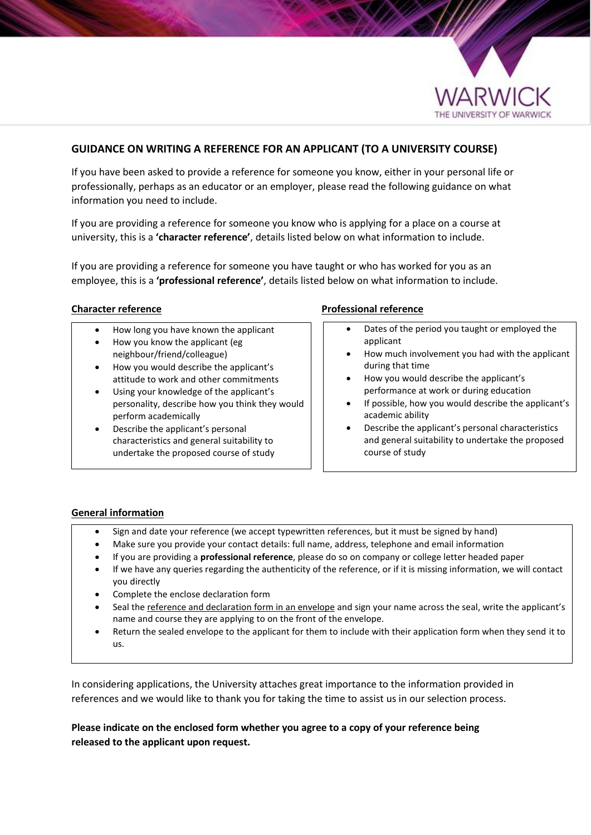

# **GUIDANCE ON WRITING A REFERENCE FOR AN APPLICANT (TO A UNIVERSITY COURSE)**

If you have been asked to provide a reference for someone you know, either in your personal life or professionally, perhaps as an educator or an employer, please read the following guidance on what information you need to include.

If you are providing a reference for someone you know who is applying for a place on a course at university, this is a **'character reference'**, details listed below on what information to include.

If you are providing a reference for someone you have taught or who has worked for you as an employee, this is a **'professional reference'**, details listed below on what information to include.

- How long you have known the applicant
- How you know the applicant (eg neighbour/friend/colleague)
- How you would describe the applicant's attitude to work and other commitments
- Using your knowledge of the applicant's personality, describe how you think they would perform academically
- Describe the applicant's personal characteristics and general suitability to undertake the proposed course of study

### **Character reference Professional reference**

- Dates of the period you taught or employed the applicant
- How much involvement you had with the applicant during that time
- How you would describe the applicant's performance at work or during education
- If possible, how you would describe the applicant's academic ability
- Describe the applicant's personal characteristics and general suitability to undertake the proposed course of study

### **General information**

- Sign and date your reference (we accept typewritten references, but it must be signed by hand)
- Make sure you provide your contact details: full name, address, telephone and email information
- If you are providing a **professional reference**, please do so on company or college letter headed paper
- If we have any queries regarding the authenticity of the reference, or if it is missing information, we will contact you directly
- Complete the enclose declaration form
- Seal the reference and declaration form in an envelope and sign your name across the seal, write the applicant's name and course they are applying to on the front of the envelope.
- Return the sealed envelope to the applicant for them to include with their application form when they send it to us.

In considering applications, the University attaches great importance to the information provided in references and we would like to thank you for taking the time to assist us in our selection process.

**Please indicate on the enclosed form whether you agree to a copy of your reference being released to the applicant upon request.**